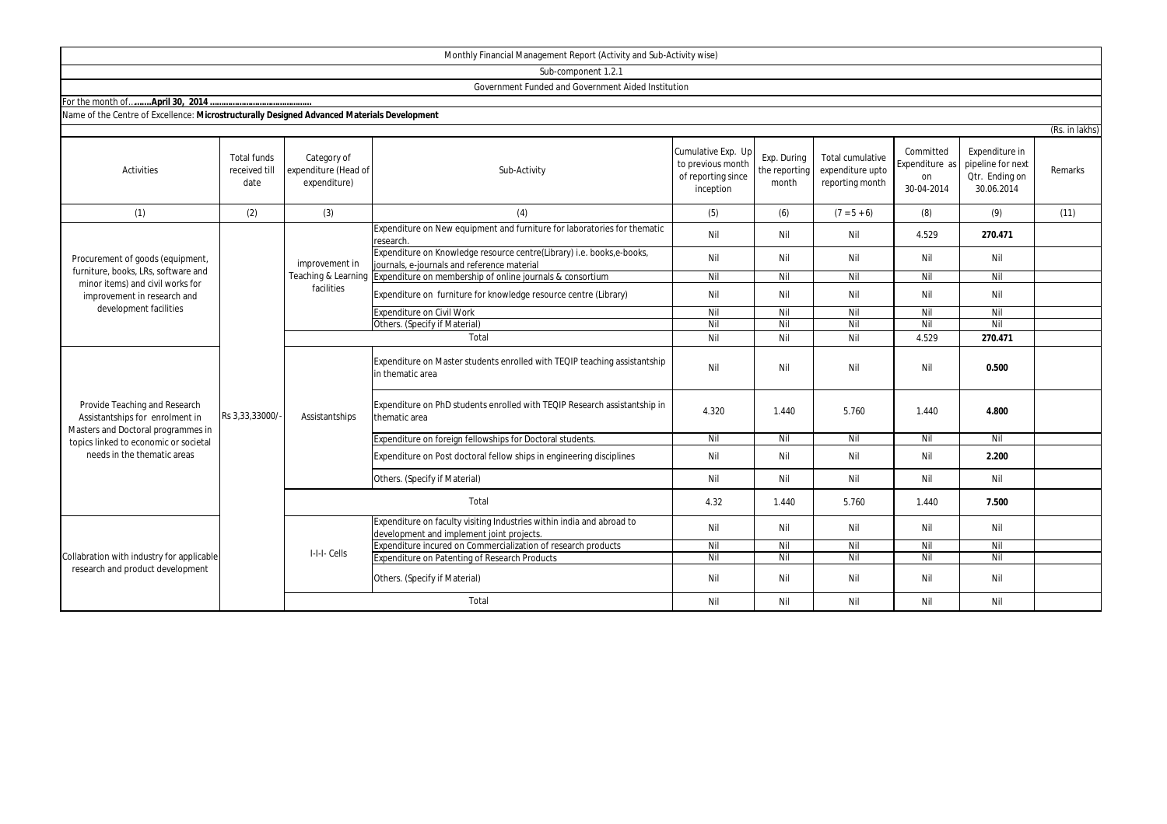| Monthly Financial Management Report (Activity and Sub-Activity wise) |  |
|----------------------------------------------------------------------|--|
|                                                                      |  |

Sub-component 1.2.1

Government Funded and Government Aided Institution

For the month of .......... April 30, 2014 ..

| Name of the Centre of Excellence: Microstructurally Designed Advanced Materials Development |  |
|---------------------------------------------------------------------------------------------|--|
|---------------------------------------------------------------------------------------------|--|

|                                                                                                                                                                                                  |                                             |                                                     |                                                                                                                      |                                                                            |                                       |                                                         |                                                 |                                                                     | (Rs. in lakhs) |
|--------------------------------------------------------------------------------------------------------------------------------------------------------------------------------------------------|---------------------------------------------|-----------------------------------------------------|----------------------------------------------------------------------------------------------------------------------|----------------------------------------------------------------------------|---------------------------------------|---------------------------------------------------------|-------------------------------------------------|---------------------------------------------------------------------|----------------|
| <b>Activities</b>                                                                                                                                                                                | <b>Total funds</b><br>received till<br>date | Category of<br>expenditure (Head of<br>expenditure) | Sub-Activity                                                                                                         | Cumulative Exp. Up<br>to previous month<br>of reporting since<br>inception | Exp. During<br>the reporting<br>month | Total cumulative<br>expenditure upto<br>reporting month | Committed<br>Expenditure as<br>on<br>30-04-2014 | Expenditure in<br>pipeline for next<br>Qtr. Ending on<br>30.06.2014 | Remarks        |
| (1)                                                                                                                                                                                              | (2)                                         | (3)                                                 | (4)                                                                                                                  | (5)                                                                        | (6)                                   | $(7 = 5 + 6)$                                           | (8)                                             | (9)                                                                 | (11)           |
| Procurement of goods (equipment,                                                                                                                                                                 |                                             | improvement in                                      | Expenditure on New equipment and furniture for laboratories for thematic<br>research.                                | Nil                                                                        | Nil                                   | Nil                                                     | 4.529                                           | 270.471                                                             |                |
|                                                                                                                                                                                                  |                                             |                                                     | Expenditure on Knowledge resource centre(Library) i.e. books,e-books,<br>journals, e-journals and reference material | Nil                                                                        | Nil                                   | Nil                                                     | Nil                                             | Nil                                                                 |                |
| furniture, books, LRs, software and                                                                                                                                                              |                                             | Teaching & Learning                                 | Expenditure on membership of online journals & consortium                                                            | Nil                                                                        | Nil                                   | Nil                                                     | Nil                                             | Nil                                                                 |                |
| minor items) and civil works for<br>improvement in research and                                                                                                                                  |                                             | facilities                                          | Expenditure on furniture for knowledge resource centre (Library)                                                     | Nil                                                                        | Nil                                   | Nil                                                     | Nil                                             | Nil                                                                 |                |
| development facilities                                                                                                                                                                           |                                             |                                                     | Expenditure on Civil Work                                                                                            | Nil                                                                        | Nil                                   | Nil                                                     | Nil                                             | Nil                                                                 |                |
|                                                                                                                                                                                                  |                                             |                                                     | Others. (Specify if Material)                                                                                        | Nil                                                                        | Nil                                   | Nil                                                     | Nil                                             | Nil                                                                 |                |
|                                                                                                                                                                                                  |                                             |                                                     | Total                                                                                                                | Nil                                                                        | Nil                                   | Nil                                                     | 4.529                                           | 270.471                                                             |                |
| Provide Teaching and Research<br>Rs 3,33,33000/<br>Assistantships for enrolment in<br>Masters and Doctoral programmes in<br>topics linked to economic or societal<br>needs in the thematic areas |                                             |                                                     | Expenditure on Master students enrolled with TEQIP teaching assistantship<br>in thematic area                        | Nil                                                                        | Nil                                   | Nil                                                     | Nil                                             | 0.500                                                               |                |
|                                                                                                                                                                                                  |                                             | Assistantships                                      | Expenditure on PhD students enrolled with TEQIP Research assistantship in<br>thematic area                           | 4.320                                                                      | 1.440                                 | 5.760                                                   | 1.440                                           | 4.800                                                               |                |
|                                                                                                                                                                                                  |                                             |                                                     | Expenditure on foreign fellowships for Doctoral students.                                                            | Nil                                                                        | Nil                                   | Nil                                                     | Nil                                             | Nil                                                                 |                |
|                                                                                                                                                                                                  |                                             |                                                     | Expenditure on Post doctoral fellow ships in engineering disciplines                                                 | Nil                                                                        | Nil                                   | Nil                                                     | Nil                                             | 2.200                                                               |                |
|                                                                                                                                                                                                  |                                             |                                                     | Others. (Specify if Material)                                                                                        | Nil                                                                        | Nil                                   | Nil                                                     | Nil                                             | Nil                                                                 |                |
|                                                                                                                                                                                                  | Total                                       |                                                     | 4.32                                                                                                                 | 1.440                                                                      | 5.760                                 | 1.440                                                   | 7.500                                           |                                                                     |                |
| Collabration with industry for applicable<br>research and product development                                                                                                                    |                                             | I-I-I-Cells                                         | Expenditure on faculty visiting Industries within india and abroad to<br>development and implement joint projects.   | Nil                                                                        | Nil                                   | Nil                                                     | Nil                                             | Nil                                                                 |                |
|                                                                                                                                                                                                  |                                             |                                                     | Expenditure incured on Commercialization of research products                                                        | Nil                                                                        | Nil                                   | Nil                                                     | Nil                                             | Nil                                                                 |                |
|                                                                                                                                                                                                  |                                             |                                                     | Expenditure on Patenting of Research Products                                                                        | Nil                                                                        | Nil                                   | Nil                                                     | Nil                                             | Nil                                                                 |                |
|                                                                                                                                                                                                  |                                             |                                                     | Others. (Specify if Material)                                                                                        | Nil                                                                        | Nil                                   | Nil                                                     | Nil                                             | Nil                                                                 |                |
|                                                                                                                                                                                                  |                                             |                                                     | Total                                                                                                                | Nil                                                                        | Nil                                   | Nil                                                     | Nil                                             | Nil                                                                 |                |